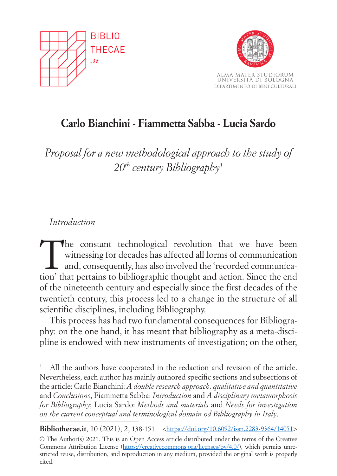



# **Carlo Bianchini - Fiammetta Sabba - Lucia Sardo**

*Proposal for a new methodological approach to the study of 20th century Bibliography1*

## *Introduction*

The constant technological revolution that we have been<br>witnessing for decades has affected all forms of communication<br>and, consequently, has also involved the 'recorded communica-<br>tion' that pertains to hild linear this t witnessing for decades has affected all forms of communication and, consequently, has also involved the 'recorded communication' that pertains to bibliographic thought and action. Since the end of the nineteenth century and especially since the first decades of the twentieth century, this process led to a change in the structure of all scientific disciplines, including Bibliography.

This process has had two fundamental consequences for Bibliography: on the one hand, it has meant that bibliography as a meta-discipline is endowed with new instruments of investigation; on the other,

All the authors have cooperated in the redaction and revision of the article. Nevertheless, each author has mainly authored specific sections and subsections of the article: Carlo Bianchini: *A double research approach: qualitative and quantitative*  and *Conclusions*, Fiammetta Sabba: *Introduction* and *A disciplinary metamorphosis for Bibliography*; Lucia Sardo: *Methods and materials* and *Needs for investigation on the current conceptual and terminological domain od Bibliography in Italy*.

**Bibliothecae.it**, 10 (2021), 2, 138-151 <https://doi.org/10.6092/issn.2283-9364/14051> © The Author(s) 2021. This is an Open Access article distributed under the terms of the Creative Commons Attribution License (https://creativecommons.org/licenses/by/4.0/), which permits unrestricted reuse, distribution, and reproduction in any medium, provided the original work is properly cited.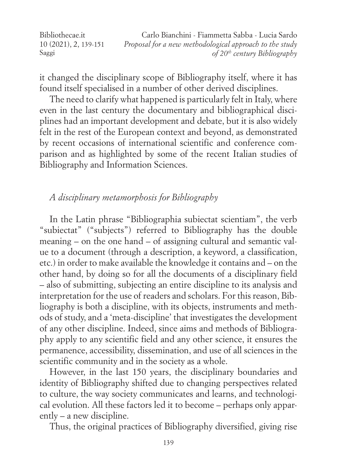Bibliothecae.it 10 (2021), 2, 139-151 Saggi Carlo Bianchini - Fiammetta Sabba - Lucia Sardo *Proposal for a new methodological approach to the study of 20th century Bibliography*

it changed the disciplinary scope of Bibliography itself, where it has found itself specialised in a number of other derived disciplines.

The need to clarify what happened is particularly felt in Italy, where even in the last century the documentary and bibliographical disciplines had an important development and debate, but it is also widely felt in the rest of the European context and beyond, as demonstrated by recent occasions of international scientific and conference comparison and as highlighted by some of the recent Italian studies of Bibliography and Information Sciences.

#### *A disciplinary metamorphosis for Bibliography*

In the Latin phrase "Bibliographia subiectat scientiam", the verb "subiectat" ("subjects") referred to Bibliography has the double meaning – on the one hand – of assigning cultural and semantic value to a document (through a description, a keyword, a classification, etc.) in order to make available the knowledge it contains and – on the other hand, by doing so for all the documents of a disciplinary field – also of submitting, subjecting an entire discipline to its analysis and interpretation for the use of readers and scholars. For this reason, Bibliography is both a discipline, with its objects, instruments and methods of study, and a 'meta-discipline' that investigates the development of any other discipline. Indeed, since aims and methods of Bibliography apply to any scientific field and any other science, it ensures the permanence, accessibility, dissemination, and use of all sciences in the scientific community and in the society as a whole.

However, in the last 150 years, the disciplinary boundaries and identity of Bibliography shifted due to changing perspectives related to culture, the way society communicates and learns, and technological evolution. All these factors led it to become – perhaps only apparently – a new discipline.

Thus, the original practices of Bibliography diversified, giving rise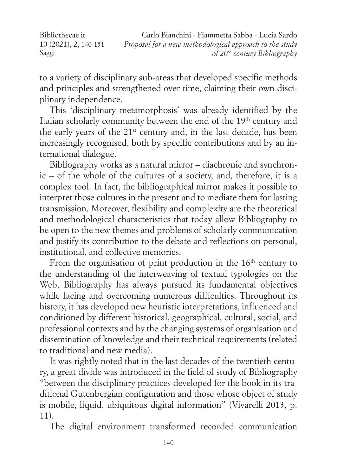Bibliothecae.it 10 (2021), 2, 140-151 Saggi Carlo Bianchini - Fiammetta Sabba - Lucia Sardo *Proposal for a new methodological approach to the study of 20th century Bibliography*

to a variety of disciplinary sub-areas that developed specific methods and principles and strengthened over time, claiming their own disciplinary independence.

This 'disciplinary metamorphosis' was already identified by the Italian scholarly community between the end of the 19<sup>th</sup> century and the early years of the 21st century and, in the last decade, has been increasingly recognised, both by specific contributions and by an international dialogue.

Bibliography works as a natural mirror – diachronic and synchronic – of the whole of the cultures of a society, and, therefore, it is a complex tool. In fact, the bibliographical mirror makes it possible to interpret those cultures in the present and to mediate them for lasting transmission. Moreover, flexibility and complexity are the theoretical and methodological characteristics that today allow Bibliography to be open to the new themes and problems of scholarly communication and justify its contribution to the debate and reflections on personal, institutional, and collective memories.

From the organisation of print production in the  $16<sup>th</sup>$  century to the understanding of the interweaving of textual typologies on the Web, Bibliography has always pursued its fundamental objectives while facing and overcoming numerous difficulties. Throughout its history, it has developed new heuristic interpretations, influenced and conditioned by different historical, geographical, cultural, social, and professional contexts and by the changing systems of organisation and dissemination of knowledge and their technical requirements (related to traditional and new media).

It was rightly noted that in the last decades of the twentieth century, a great divide was introduced in the field of study of Bibliography "between the disciplinary practices developed for the book in its traditional Gutenbergian configuration and those whose object of study is mobile, liquid, ubiquitous digital information" (Vivarelli 2013, p. 11).

The digital environment transformed recorded communication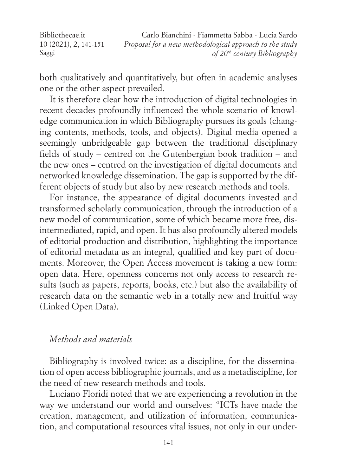Bibliothecae.it 10 (2021), 2, 141-151 Saggi Carlo Bianchini - Fiammetta Sabba - Lucia Sardo *Proposal for a new methodological approach to the study of 20th century Bibliography*

both qualitatively and quantitatively, but often in academic analyses one or the other aspect prevailed.

It is therefore clear how the introduction of digital technologies in recent decades profoundly influenced the whole scenario of knowledge communication in which Bibliography pursues its goals (changing contents, methods, tools, and objects). Digital media opened a seemingly unbridgeable gap between the traditional disciplinary fields of study – centred on the Gutenbergian book tradition – and the new ones – centred on the investigation of digital documents and networked knowledge dissemination. The gap is supported by the different objects of study but also by new research methods and tools.

For instance, the appearance of digital documents invested and transformed scholarly communication, through the introduction of a new model of communication, some of which became more free, disintermediated, rapid, and open. It has also profoundly altered models of editorial production and distribution, highlighting the importance of editorial metadata as an integral, qualified and key part of documents. Moreover, the Open Access movement is taking a new form: open data. Here, openness concerns not only access to research results (such as papers, reports, books, etc.) but also the availability of research data on the semantic web in a totally new and fruitful way (Linked Open Data).

#### *Methods and materials*

Bibliography is involved twice: as a discipline, for the dissemination of open access bibliographic journals, and as a metadiscipline, for the need of new research methods and tools.

Luciano Floridi noted that we are experiencing a revolution in the way we understand our world and ourselves: "ICTs have made the creation, management, and utilization of information, communication, and computational resources vital issues, not only in our under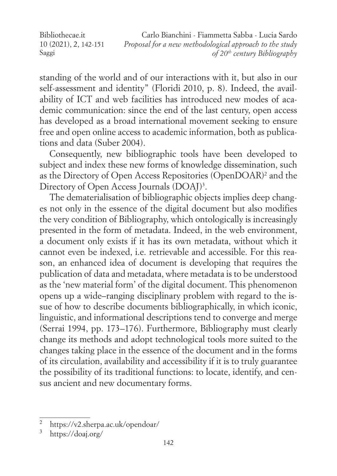Bibliothecae.it 10 (2021), 2, 142-151 Saggi

Carlo Bianchini - Fiammetta Sabba - Lucia Sardo *Proposal for a new methodological approach to the study of 20th century Bibliography*

standing of the world and of our interactions with it, but also in our self-assessment and identity" (Floridi 2010, p. 8). Indeed, the availability of ICT and web facilities has introduced new modes of academic communication: since the end of the last century, open access has developed as a broad international movement seeking to ensure free and open online access to academic information, both as publications and data (Suber 2004).

Consequently, new bibliographic tools have been developed to subject and index these new forms of knowledge dissemination, such as the Directory of Open Access Repositories (OpenDOAR)2 and the Directory of Open Access Journals (DOAJ)<sup>3</sup>.

The dematerialisation of bibliographic objects implies deep changes not only in the essence of the digital document but also modifies the very condition of Bibliography, which ontologically is increasingly presented in the form of metadata. Indeed, in the web environment, a document only exists if it has its own metadata, without which it cannot even be indexed, i.e. retrievable and accessible. For this reason, an enhanced idea of document is developing that requires the publication of data and metadata, where metadata is to be understood as the 'new material form' of the digital document. This phenomenon opens up a wide–ranging disciplinary problem with regard to the issue of how to describe documents bibliographically, in which iconic, linguistic, and informational descriptions tend to converge and merge (Serrai 1994, pp. 173–176). Furthermore, Bibliography must clearly change its methods and adopt technological tools more suited to the changes taking place in the essence of the document and in the forms of its circulation, availability and accessibility if it is to truly guarantee the possibility of its traditional functions: to locate, identify, and census ancient and new documentary forms.

<sup>2</sup> https://v2.sherpa.ac.uk/opendoar/

<sup>3</sup> https://doaj.org/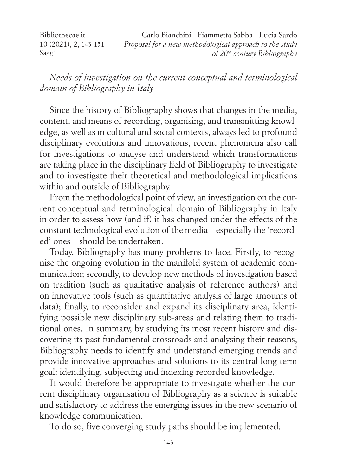Bibliothecae.it 10 (2021), 2, 143-151 Saggi Carlo Bianchini - Fiammetta Sabba - Lucia Sardo *Proposal for a new methodological approach to the study of 20th century Bibliography*

*Needs of investigation on the current conceptual and terminological domain of Bibliography in Italy*

Since the history of Bibliography shows that changes in the media, content, and means of recording, organising, and transmitting knowledge, as well as in cultural and social contexts, always led to profound disciplinary evolutions and innovations, recent phenomena also call for investigations to analyse and understand which transformations are taking place in the disciplinary field of Bibliography to investigate and to investigate their theoretical and methodological implications within and outside of Bibliography.

From the methodological point of view, an investigation on the current conceptual and terminological domain of Bibliography in Italy in order to assess how (and if) it has changed under the effects of the constant technological evolution of the media – especially the 'recorded' ones – should be undertaken.

Today, Bibliography has many problems to face. Firstly, to recognise the ongoing evolution in the manifold system of academic communication; secondly, to develop new methods of investigation based on tradition (such as qualitative analysis of reference authors) and on innovative tools (such as quantitative analysis of large amounts of data); finally, to reconsider and expand its disciplinary area, identifying possible new disciplinary sub-areas and relating them to traditional ones. In summary, by studying its most recent history and discovering its past fundamental crossroads and analysing their reasons, Bibliography needs to identify and understand emerging trends and provide innovative approaches and solutions to its central long-term goal: identifying, subjecting and indexing recorded knowledge.

It would therefore be appropriate to investigate whether the current disciplinary organisation of Bibliography as a science is suitable and satisfactory to address the emerging issues in the new scenario of knowledge communication.

To do so, five converging study paths should be implemented: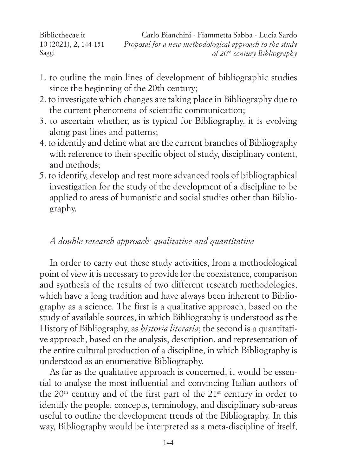Bibliothecae.it 10 (2021), 2, 144-151 Saggi Carlo Bianchini - Fiammetta Sabba - Lucia Sardo *Proposal for a new methodological approach to the study of 20th century Bibliography*

- 1. to outline the main lines of development of bibliographic studies since the beginning of the 20th century;
- 2. to investigate which changes are taking place in Bibliography due to the current phenomena of scientific communication;
- 3. to ascertain whether, as is typical for Bibliography, it is evolving along past lines and patterns;
- 4. to identify and define what are the current branches of Bibliography with reference to their specific object of study, disciplinary content, and methods;
- 5. to identify, develop and test more advanced tools of bibliographical investigation for the study of the development of a discipline to be applied to areas of humanistic and social studies other than Bibliography.

## *A double research approach: qualitative and quantitative*

In order to carry out these study activities, from a methodological point of view it is necessary to provide for the coexistence, comparison and synthesis of the results of two different research methodologies, which have a long tradition and have always been inherent to Bibliography as a science. The first is a qualitative approach, based on the study of available sources, in which Bibliography is understood as the History of Bibliography, as *historia literaria*; the second is a quantitative approach, based on the analysis, description, and representation of the entire cultural production of a discipline, in which Bibliography is understood as an enumerative Bibliography.

As far as the qualitative approach is concerned, it would be essential to analyse the most influential and convincing Italian authors of the  $20<sup>th</sup>$  century and of the first part of the  $21<sup>st</sup>$  century in order to identify the people, concepts, terminology, and disciplinary sub-areas useful to outline the development trends of the Bibliography. In this way, Bibliography would be interpreted as a meta-discipline of itself,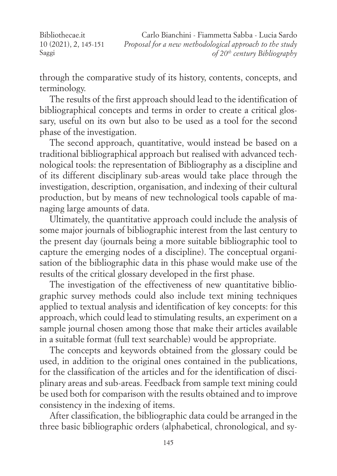Bibliothecae.it 10 (2021), 2, 145-151 Saggi Carlo Bianchini - Fiammetta Sabba - Lucia Sardo *Proposal for a new methodological approach to the study of 20th century Bibliography*

through the comparative study of its history, contents, concepts, and terminology.

The results of the first approach should lead to the identification of bibliographical concepts and terms in order to create a critical glossary, useful on its own but also to be used as a tool for the second phase of the investigation.

The second approach, quantitative, would instead be based on a traditional bibliographical approach but realised with advanced technological tools: the representation of Bibliography as a discipline and of its different disciplinary sub-areas would take place through the investigation, description, organisation, and indexing of their cultural production, but by means of new technological tools capable of managing large amounts of data.

Ultimately, the quantitative approach could include the analysis of some major journals of bibliographic interest from the last century to the present day (journals being a more suitable bibliographic tool to capture the emerging nodes of a discipline). The conceptual organisation of the bibliographic data in this phase would make use of the results of the critical glossary developed in the first phase.

The investigation of the effectiveness of new quantitative bibliographic survey methods could also include text mining techniques applied to textual analysis and identification of key concepts: for this approach, which could lead to stimulating results, an experiment on a sample journal chosen among those that make their articles available in a suitable format (full text searchable) would be appropriate.

The concepts and keywords obtained from the glossary could be used, in addition to the original ones contained in the publications, for the classification of the articles and for the identification of disciplinary areas and sub-areas. Feedback from sample text mining could be used both for comparison with the results obtained and to improve consistency in the indexing of items.

After classification, the bibliographic data could be arranged in the three basic bibliographic orders (alphabetical, chronological, and sy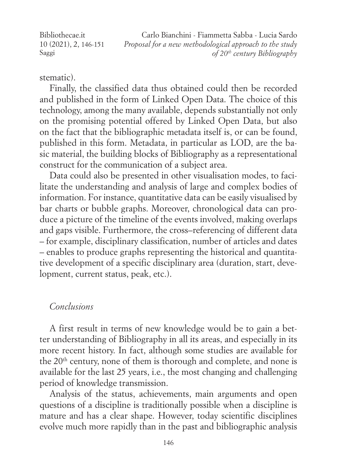Bibliothecae.it 10 (2021), 2, 146-151 Saggi Carlo Bianchini - Fiammetta Sabba - Lucia Sardo *Proposal for a new methodological approach to the study of 20th century Bibliography*

stematic).

Finally, the classified data thus obtained could then be recorded and published in the form of Linked Open Data. The choice of this technology, among the many available, depends substantially not only on the promising potential offered by Linked Open Data, but also on the fact that the bibliographic metadata itself is, or can be found, published in this form. Metadata, in particular as LOD, are the basic material, the building blocks of Bibliography as a representational construct for the communication of a subject area.

Data could also be presented in other visualisation modes, to facilitate the understanding and analysis of large and complex bodies of information. For instance, quantitative data can be easily visualised by bar charts or bubble graphs. Moreover, chronological data can produce a picture of the timeline of the events involved, making overlaps and gaps visible. Furthermore, the cross–referencing of different data – for example, disciplinary classification, number of articles and dates – enables to produce graphs representing the historical and quantitative development of a specific disciplinary area (duration, start, development, current status, peak, etc.).

## *Conclusions*

A first result in terms of new knowledge would be to gain a better understanding of Bibliography in all its areas, and especially in its more recent history. In fact, although some studies are available for the 20<sup>th</sup> century, none of them is thorough and complete, and none is available for the last 25 years, i.e., the most changing and challenging period of knowledge transmission.

Analysis of the status, achievements, main arguments and open questions of a discipline is traditionally possible when a discipline is mature and has a clear shape. However, today scientific disciplines evolve much more rapidly than in the past and bibliographic analysis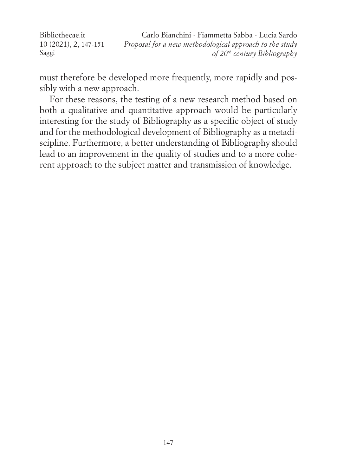Bibliothecae.it 10 (2021), 2, 147-151 Saggi Carlo Bianchini - Fiammetta Sabba - Lucia Sardo *Proposal for a new methodological approach to the study of 20th century Bibliography*

must therefore be developed more frequently, more rapidly and possibly with a new approach.

For these reasons, the testing of a new research method based on both a qualitative and quantitative approach would be particularly interesting for the study of Bibliography as a specific object of study and for the methodological development of Bibliography as a metadiscipline. Furthermore, a better understanding of Bibliography should lead to an improvement in the quality of studies and to a more coherent approach to the subject matter and transmission of knowledge.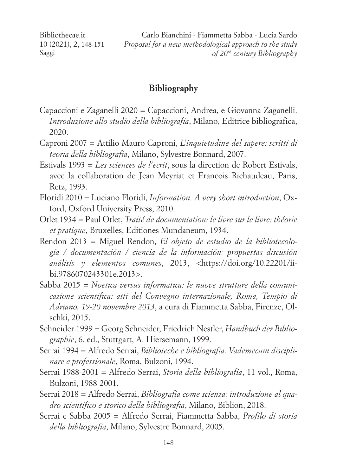Bibliothecae.it 10 (2021), 2, 148-151 Saggi

Carlo Bianchini - Fiammetta Sabba - Lucia Sardo *Proposal for a new methodological approach to the study of 20th century Bibliography*

### **Bibliography**

- Capaccioni e Zaganelli 2020 = Capaccioni, Andrea, e Giovanna Zaganelli. *Introduzione allo studio della bibliografia*, Milano, Editrice bibliografica, 2020.
- Caproni 2007 = Attilio Mauro Caproni, *L'inquietudine del sapere: scritti di teoria della bibliografia*, Milano, Sylvestre Bonnard, 2007.
- Estivals 1993 = *Les sciences de l'ecrit*, sous la direction de Robert Estivals, avec la collaboration de Jean Meyriat et Francois Richaudeau, Paris, Retz, 1993.
- Floridi 2010 = Luciano Floridi, *Information. A very short introduction*, Oxford, Oxford University Press, 2010.
- Otlet 1934 = Paul Otlet, *Traité de documentation: le livre sur le livre: théorie et pratique*, Bruxelles, Editiones Mundaneum, 1934.
- Rendon 2013 = Miguel Rendon, *El objeto de estudio de la bibliotecología / documentación / ciencia de la información: propuestas discusión análisis y elementos comunes*, 2013, <https://doi.org/10.22201/iibi.9786070243301e.2013>.
- Sabba 2015 = *Noetica versus informatica: le nuove strutture della comunicazione scientifica: atti del Convegno internazionale, Roma, Tempio di Adriano, 19-20 novembre 2013*, a cura di Fiammetta Sabba, Firenze, Olschki, 2015.
- Schneider 1999 = Georg Schneider, Friedrich Nestler, *Handbuch der Bibliographie*, 6. ed., Stuttgart, A. Hiersemann, 1999.
- Serrai 1994 = Alfredo Serrai, *Biblioteche e bibliografia. Vademecum disciplinare e professionale*, Roma, Bulzoni, 1994.
- Serrai 1988-2001 = Alfredo Serrai, *Storia della bibliografia*, 11 vol., Roma, Bulzoni, 1988-2001.
- Serrai 2018 = Alfredo Serrai, *Bibliografia come scienza: introduzione al quadro scientifico e storico della bibliografia*, Milano, Biblion, 2018.
- Serrai e Sabba 2005 = Alfredo Serrai, Fiammetta Sabba, *Profilo di storia della bibliografia*, Milano, Sylvestre Bonnard, 2005.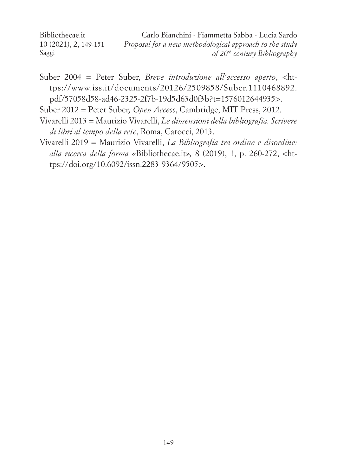Bibliothecae.it 10 (2021), 2, 149-151 Saggi Carlo Bianchini - Fiammetta Sabba - Lucia Sardo *Proposal for a new methodological approach to the study of 20th century Bibliography*

- Suber 2004 = Peter Suber, *Breve introduzione all'accesso aperto*, <https://www.iss.it/documents/20126/2509858/Suber.1110468892. pdf/57058d58-ad46-2325-2f7b-19d5d63d0f3b?t=1576012644935>.
- Suber 2012 = Peter Suber*, Open Access*, Cambridge, MIT Press, 2012.
- Vivarelli 2013 = Maurizio Vivarelli, *Le dimensioni della bibliografia. Scrivere di libri al tempo della rete*, Roma, Carocci, 2013.
- Vivarelli 2019 = Maurizio Vivarelli, *La Bibliografia tra ordine e disordine: alla ricerca della forma «*Bibliothecae.it*»,* 8 (2019), 1, p. 260-272, <https://doi.org/10.6092/issn.2283-9364/9505>.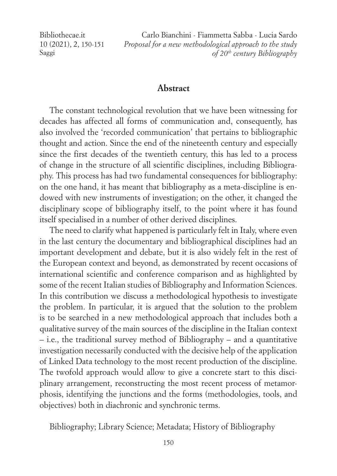Bibliothecae.it 10 (2021), 2, 150-151 Saggi

Carlo Bianchini - Fiammetta Sabba - Lucia Sardo *Proposal for a new methodological approach to the study of 20th century Bibliography*

#### **Abstract**

The constant technological revolution that we have been witnessing for decades has affected all forms of communication and, consequently, has also involved the 'recorded communication' that pertains to bibliographic thought and action. Since the end of the nineteenth century and especially since the first decades of the twentieth century, this has led to a process of change in the structure of all scientific disciplines, including Bibliography. This process has had two fundamental consequences for bibliography: on the one hand, it has meant that bibliography as a meta-discipline is endowed with new instruments of investigation; on the other, it changed the disciplinary scope of bibliography itself, to the point where it has found itself specialised in a number of other derived disciplines.

The need to clarify what happened is particularly felt in Italy, where even in the last century the documentary and bibliographical disciplines had an important development and debate, but it is also widely felt in the rest of the European context and beyond, as demonstrated by recent occasions of international scientific and conference comparison and as highlighted by some of the recent Italian studies of Bibliography and Information Sciences. In this contribution we discuss a methodological hypothesis to investigate the problem. In particular, it is argued that the solution to the problem is to be searched in a new methodological approach that includes both a qualitative survey of the main sources of the discipline in the Italian context – i.e., the traditional survey method of Bibliography – and a quantitative investigation necessarily conducted with the decisive help of the application of Linked Data technology to the most recent production of the discipline. The twofold approach would allow to give a concrete start to this disciplinary arrangement, reconstructing the most recent process of metamorphosis, identifying the junctions and the forms (methodologies, tools, and objectives) both in diachronic and synchronic terms.

Bibliography; Library Science; Metadata; History of Bibliography